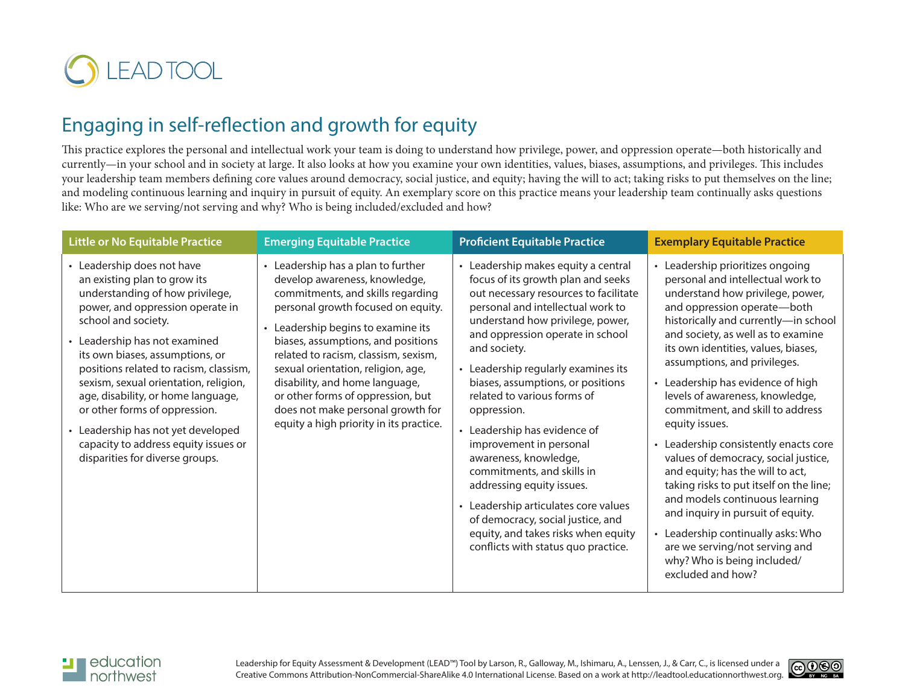

# Engaging in self-reflection and growth for equity

This practice explores the personal and intellectual work your team is doing to understand how privilege, power, and oppression operate—both historically and currently—in your school and in society at large. It also looks at how you examine your own identities, values, biases, assumptions, and privileges. This includes your leadership team members defining core values around democracy, social justice, and equity; having the will to act; taking risks to put themselves on the line; and modeling continuous learning and inquiry in pursuit of equity. An exemplary score on this practice means your leadership team continually asks questions like: Who are we serving/not serving and why? Who is being included/excluded and how?

| <b>Little or No Equitable Practice</b>                                                                                                                                                                                                                                                                                                                                                                                                                                                                  | <b>Emerging Equitable Practice</b>                                                                                                                                                                                                                                                                                                                                                                                                                              | <b>Proficient Equitable Practice</b>                                                                                                                                                                                                                                                                                                                                                                                                                                                                                                                                                                                                                                                | <b>Exemplary Equitable Practice</b>                                                                                                                                                                                                                                                                                                                                                                                                                                                                                                                                                                                                                                                                                                                                                            |
|---------------------------------------------------------------------------------------------------------------------------------------------------------------------------------------------------------------------------------------------------------------------------------------------------------------------------------------------------------------------------------------------------------------------------------------------------------------------------------------------------------|-----------------------------------------------------------------------------------------------------------------------------------------------------------------------------------------------------------------------------------------------------------------------------------------------------------------------------------------------------------------------------------------------------------------------------------------------------------------|-------------------------------------------------------------------------------------------------------------------------------------------------------------------------------------------------------------------------------------------------------------------------------------------------------------------------------------------------------------------------------------------------------------------------------------------------------------------------------------------------------------------------------------------------------------------------------------------------------------------------------------------------------------------------------------|------------------------------------------------------------------------------------------------------------------------------------------------------------------------------------------------------------------------------------------------------------------------------------------------------------------------------------------------------------------------------------------------------------------------------------------------------------------------------------------------------------------------------------------------------------------------------------------------------------------------------------------------------------------------------------------------------------------------------------------------------------------------------------------------|
| • Leadership does not have<br>an existing plan to grow its<br>understanding of how privilege,<br>power, and oppression operate in<br>school and society.<br>• Leadership has not examined<br>its own biases, assumptions, or<br>positions related to racism, classism,<br>sexism, sexual orientation, religion,<br>age, disability, or home language,<br>or other forms of oppression.<br>• Leadership has not yet developed<br>capacity to address equity issues or<br>disparities for diverse groups. | • Leadership has a plan to further<br>develop awareness, knowledge,<br>commitments, and skills regarding<br>personal growth focused on equity.<br>• Leadership begins to examine its<br>biases, assumptions, and positions<br>related to racism, classism, sexism,<br>sexual orientation, religion, age,<br>disability, and home language,<br>or other forms of oppression, but<br>does not make personal growth for<br>equity a high priority in its practice. | • Leadership makes equity a central<br>focus of its growth plan and seeks<br>out necessary resources to facilitate<br>personal and intellectual work to<br>understand how privilege, power,<br>and oppression operate in school<br>and society.<br>• Leadership regularly examines its<br>biases, assumptions, or positions<br>related to various forms of<br>oppression.<br>• Leadership has evidence of<br>improvement in personal<br>awareness, knowledge,<br>commitments, and skills in<br>addressing equity issues.<br>• Leadership articulates core values<br>of democracy, social justice, and<br>equity, and takes risks when equity<br>conflicts with status quo practice. | • Leadership prioritizes ongoing<br>personal and intellectual work to<br>understand how privilege, power,<br>and oppression operate-both<br>historically and currently-in school<br>and society, as well as to examine<br>its own identities, values, biases,<br>assumptions, and privileges.<br>• Leadership has evidence of high<br>levels of awareness, knowledge,<br>commitment, and skill to address<br>equity issues.<br>• Leadership consistently enacts core<br>values of democracy, social justice,<br>and equity; has the will to act,<br>taking risks to put itself on the line;<br>and models continuous learning<br>and inquiry in pursuit of equity.<br>• Leadership continually asks: Who<br>are we serving/not serving and<br>why? Who is being included/<br>excluded and how? |



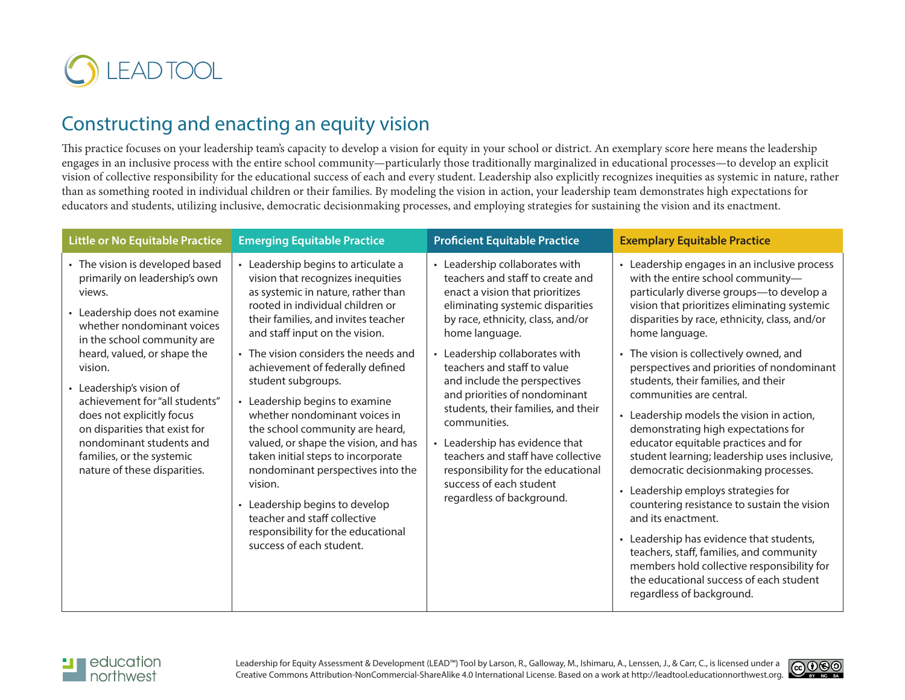

## Constructing and enacting an equity vision

This practice focuses on your leadership team's capacity to develop a vision for equity in your school or district. An exemplary score here means the leadership engages in an inclusive process with the entire school community—particularly those traditionally marginalized in educational processes—to develop an explicit vision of collective responsibility for the educational success of each and every student. Leadership also explicitly recognizes inequities as systemic in nature, rather than as something rooted in individual children or their families. By modeling the vision in action, your leadership team demonstrates high expectations for educators and students, utilizing inclusive, democratic decisionmaking processes, and employing strategies for sustaining the vision and its enactment.

| <b>Little or No Equitable Practice</b>                                                                                                                                                                                                                                                                                                                                                                                                  | <b>Emerging Equitable Practice</b>                                                                                                                                                                                                                                                                                                                                                                                                                                                                                                                                                                                                                                                                    | <b>Proficient Equitable Practice</b>                                                                                                                                                                                                                                                                                                                                                                                                                                                                                                                        | <b>Exemplary Equitable Practice</b>                                                                                                                                                                                                                                                                                                                                                                                                                                                                                                                                                                                                                                                                                                                                                                                                                                                                                                                      |
|-----------------------------------------------------------------------------------------------------------------------------------------------------------------------------------------------------------------------------------------------------------------------------------------------------------------------------------------------------------------------------------------------------------------------------------------|-------------------------------------------------------------------------------------------------------------------------------------------------------------------------------------------------------------------------------------------------------------------------------------------------------------------------------------------------------------------------------------------------------------------------------------------------------------------------------------------------------------------------------------------------------------------------------------------------------------------------------------------------------------------------------------------------------|-------------------------------------------------------------------------------------------------------------------------------------------------------------------------------------------------------------------------------------------------------------------------------------------------------------------------------------------------------------------------------------------------------------------------------------------------------------------------------------------------------------------------------------------------------------|----------------------------------------------------------------------------------------------------------------------------------------------------------------------------------------------------------------------------------------------------------------------------------------------------------------------------------------------------------------------------------------------------------------------------------------------------------------------------------------------------------------------------------------------------------------------------------------------------------------------------------------------------------------------------------------------------------------------------------------------------------------------------------------------------------------------------------------------------------------------------------------------------------------------------------------------------------|
| • The vision is developed based<br>primarily on leadership's own<br>views.<br>• Leadership does not examine<br>whether nondominant voices<br>in the school community are<br>heard, valued, or shape the<br>vision.<br>• Leadership's vision of<br>achievement for "all students"<br>does not explicitly focus<br>on disparities that exist for<br>nondominant students and<br>families, or the systemic<br>nature of these disparities. | • Leadership begins to articulate a<br>vision that recognizes inequities<br>as systemic in nature, rather than<br>rooted in individual children or<br>their families, and invites teacher<br>and staff input on the vision.<br>• The vision considers the needs and<br>achievement of federally defined<br>student subgroups.<br>• Leadership begins to examine<br>whether nondominant voices in<br>the school community are heard,<br>valued, or shape the vision, and has<br>taken initial steps to incorporate<br>nondominant perspectives into the<br>vision.<br>• Leadership begins to develop<br>teacher and staff collective<br>responsibility for the educational<br>success of each student. | • Leadership collaborates with<br>teachers and staff to create and<br>enact a vision that prioritizes<br>eliminating systemic disparities<br>by race, ethnicity, class, and/or<br>home language.<br>Leadership collaborates with<br>teachers and staff to value<br>and include the perspectives<br>and priorities of nondominant<br>students, their families, and their<br>communities.<br>Leadership has evidence that<br>teachers and staff have collective<br>responsibility for the educational<br>success of each student<br>regardless of background. | • Leadership engages in an inclusive process<br>with the entire school community-<br>particularly diverse groups-to develop a<br>vision that prioritizes eliminating systemic<br>disparities by race, ethnicity, class, and/or<br>home language.<br>• The vision is collectively owned, and<br>perspectives and priorities of nondominant<br>students, their families, and their<br>communities are central.<br>Leadership models the vision in action,<br>demonstrating high expectations for<br>educator equitable practices and for<br>student learning; leadership uses inclusive,<br>democratic decisionmaking processes.<br>• Leadership employs strategies for<br>countering resistance to sustain the vision<br>and its enactment.<br>• Leadership has evidence that students,<br>teachers, staff, families, and community<br>members hold collective responsibility for<br>the educational success of each student<br>regardless of background. |

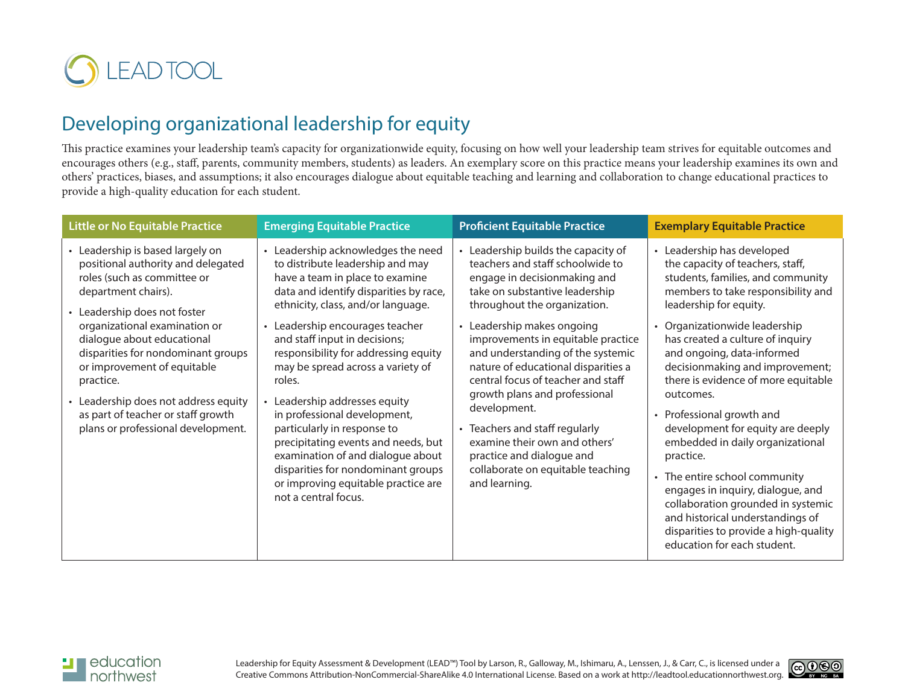

## Developing organizational leadership for equity

This practice examines your leadership team's capacity for organizationwide equity, focusing on how well your leadership team strives for equitable outcomes and encourages others (e.g., staff, parents, community members, students) as leaders. An exemplary score on this practice means your leadership examines its own and others' practices, biases, and assumptions; it also encourages dialogue about equitable teaching and learning and collaboration to change educational practices to provide a high-quality education for each student.

| <b>Little or No Equitable Practice</b>                                                                                                                                                                                                                                                                                                                                                                                        | <b>Emerging Equitable Practice</b>                                                                                                                                                                                                                                                                                                                                                                                                                                                                                                                                                                                                             | <b>Proficient Equitable Practice</b>                                                                                                                                                                                                                                                                                                                                                                                                                                                                                                                                   | <b>Exemplary Equitable Practice</b>                                                                                                                                                                                                                                                                                                                                                                                                                                                                                                                                                                                                                                                                      |
|-------------------------------------------------------------------------------------------------------------------------------------------------------------------------------------------------------------------------------------------------------------------------------------------------------------------------------------------------------------------------------------------------------------------------------|------------------------------------------------------------------------------------------------------------------------------------------------------------------------------------------------------------------------------------------------------------------------------------------------------------------------------------------------------------------------------------------------------------------------------------------------------------------------------------------------------------------------------------------------------------------------------------------------------------------------------------------------|------------------------------------------------------------------------------------------------------------------------------------------------------------------------------------------------------------------------------------------------------------------------------------------------------------------------------------------------------------------------------------------------------------------------------------------------------------------------------------------------------------------------------------------------------------------------|----------------------------------------------------------------------------------------------------------------------------------------------------------------------------------------------------------------------------------------------------------------------------------------------------------------------------------------------------------------------------------------------------------------------------------------------------------------------------------------------------------------------------------------------------------------------------------------------------------------------------------------------------------------------------------------------------------|
| • Leadership is based largely on<br>positional authority and delegated<br>roles (such as committee or<br>department chairs).<br>Leadership does not foster<br>organizational examination or<br>dialogue about educational<br>disparities for nondominant groups<br>or improvement of equitable<br>practice.<br>Leadership does not address equity<br>as part of teacher or staff growth<br>plans or professional development. | • Leadership acknowledges the need<br>to distribute leadership and may<br>have a team in place to examine<br>data and identify disparities by race,<br>ethnicity, class, and/or language.<br>Leadership encourages teacher<br>$\bullet$<br>and staff input in decisions;<br>responsibility for addressing equity<br>may be spread across a variety of<br>roles.<br>Leadership addresses equity<br>in professional development,<br>particularly in response to<br>precipitating events and needs, but<br>examination of and dialogue about<br>disparities for nondominant groups<br>or improving equitable practice are<br>not a central focus. | • Leadership builds the capacity of<br>teachers and staff schoolwide to<br>engage in decisionmaking and<br>take on substantive leadership<br>throughout the organization.<br>• Leadership makes ongoing<br>improvements in equitable practice<br>and understanding of the systemic<br>nature of educational disparities a<br>central focus of teacher and staff<br>growth plans and professional<br>development.<br>• Teachers and staff regularly<br>examine their own and others'<br>practice and dialogue and<br>collaborate on equitable teaching<br>and learning. | • Leadership has developed<br>the capacity of teachers, staff,<br>students, families, and community<br>members to take responsibility and<br>leadership for equity.<br>• Organizationwide leadership<br>has created a culture of inquiry<br>and ongoing, data-informed<br>decisionmaking and improvement;<br>there is evidence of more equitable<br>outcomes.<br>• Professional growth and<br>development for equity are deeply<br>embedded in daily organizational<br>practice.<br>• The entire school community<br>engages in inquiry, dialogue, and<br>collaboration grounded in systemic<br>and historical understandings of<br>disparities to provide a high-quality<br>education for each student. |



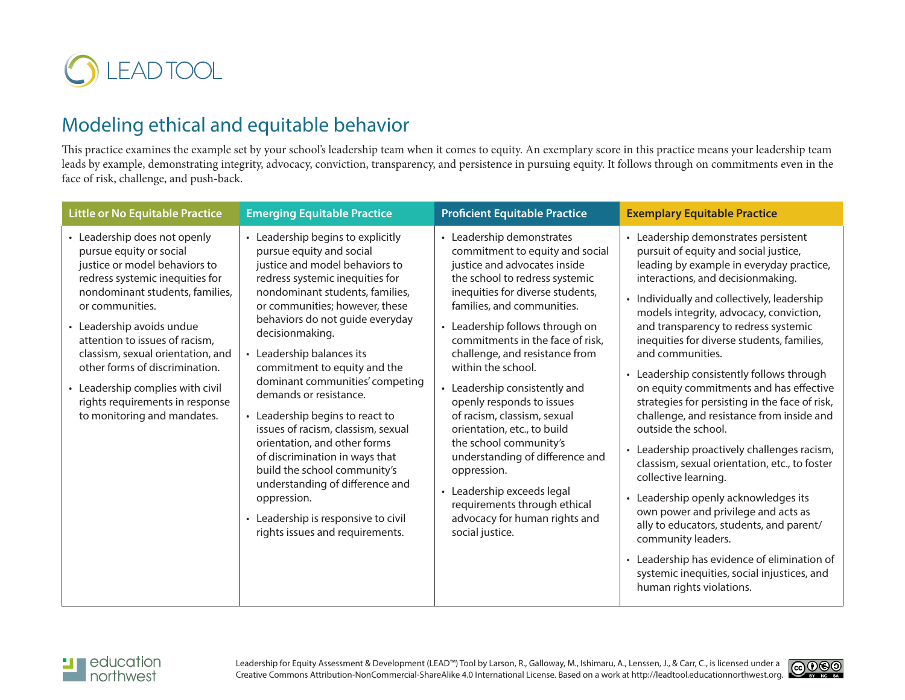

## Modeling ethical and equitable behavior

This practice examines the example set by your school's leadership team when it comes to equity. An exemplary score in this practice means your leadership team leads by example, demonstrating integrity, advocacy, conviction, transparency, and persistence in pursuing equity. It follows through on commitments even in the face of risk, challenge, and push-back.

| <b>Little or No Equitable Practice</b>                                                                                                                                                                                                                                                                                                                                                                                        | <b>Emerging Equitable Practice</b>                                                                                                                                                                                                                                                                                                                                                                                                                                                                                                                                                                                                                                                           | <b>Proficient Equitable Practice</b>                                                                                                                                                                                                                                                                                                                                                                                                                                                                                                                                                                                                                                 | <b>Exemplary Equitable Practice</b>                                                                                                                                                                                                                                                                                                                                                                                                                                                                                                                                                                                                                                                                                                                                                                                                                                                                                                                                                 |
|-------------------------------------------------------------------------------------------------------------------------------------------------------------------------------------------------------------------------------------------------------------------------------------------------------------------------------------------------------------------------------------------------------------------------------|----------------------------------------------------------------------------------------------------------------------------------------------------------------------------------------------------------------------------------------------------------------------------------------------------------------------------------------------------------------------------------------------------------------------------------------------------------------------------------------------------------------------------------------------------------------------------------------------------------------------------------------------------------------------------------------------|----------------------------------------------------------------------------------------------------------------------------------------------------------------------------------------------------------------------------------------------------------------------------------------------------------------------------------------------------------------------------------------------------------------------------------------------------------------------------------------------------------------------------------------------------------------------------------------------------------------------------------------------------------------------|-------------------------------------------------------------------------------------------------------------------------------------------------------------------------------------------------------------------------------------------------------------------------------------------------------------------------------------------------------------------------------------------------------------------------------------------------------------------------------------------------------------------------------------------------------------------------------------------------------------------------------------------------------------------------------------------------------------------------------------------------------------------------------------------------------------------------------------------------------------------------------------------------------------------------------------------------------------------------------------|
| • Leadership does not openly<br>pursue equity or social<br>justice or model behaviors to<br>redress systemic inequities for<br>nondominant students, families,<br>or communities.<br>• Leadership avoids undue<br>attention to issues of racism,<br>classism, sexual orientation, and<br>other forms of discrimination.<br>• Leadership complies with civil<br>rights requirements in response<br>to monitoring and mandates. | • Leadership begins to explicitly<br>pursue equity and social<br>justice and model behaviors to<br>redress systemic inequities for<br>nondominant students, families,<br>or communities; however, these<br>behaviors do not guide everyday<br>decisionmaking.<br>Leadership balances its<br>commitment to equity and the<br>dominant communities' competing<br>demands or resistance.<br>• Leadership begins to react to<br>issues of racism, classism, sexual<br>orientation, and other forms<br>of discrimination in ways that<br>build the school community's<br>understanding of difference and<br>oppression.<br>• Leadership is responsive to civil<br>rights issues and requirements. | • Leadership demonstrates<br>commitment to equity and social<br>justice and advocates inside<br>the school to redress systemic<br>inequities for diverse students,<br>families, and communities.<br>• Leadership follows through on<br>commitments in the face of risk,<br>challenge, and resistance from<br>within the school.<br>• Leadership consistently and<br>openly responds to issues<br>of racism, classism, sexual<br>orientation, etc., to build<br>the school community's<br>understanding of difference and<br>oppression.<br>Leadership exceeds legal<br>$\bullet$<br>requirements through ethical<br>advocacy for human rights and<br>social justice. | • Leadership demonstrates persistent<br>pursuit of equity and social justice,<br>leading by example in everyday practice,<br>interactions, and decisionmaking.<br>• Individually and collectively, leadership<br>models integrity, advocacy, conviction,<br>and transparency to redress systemic<br>inequities for diverse students, families,<br>and communities.<br>• Leadership consistently follows through<br>on equity commitments and has effective<br>strategies for persisting in the face of risk,<br>challenge, and resistance from inside and<br>outside the school.<br>• Leadership proactively challenges racism,<br>classism, sexual orientation, etc., to foster<br>collective learning.<br>• Leadership openly acknowledges its<br>own power and privilege and acts as<br>ally to educators, students, and parent/<br>community leaders.<br>• Leadership has evidence of elimination of<br>systemic inequities, social injustices, and<br>human rights violations. |



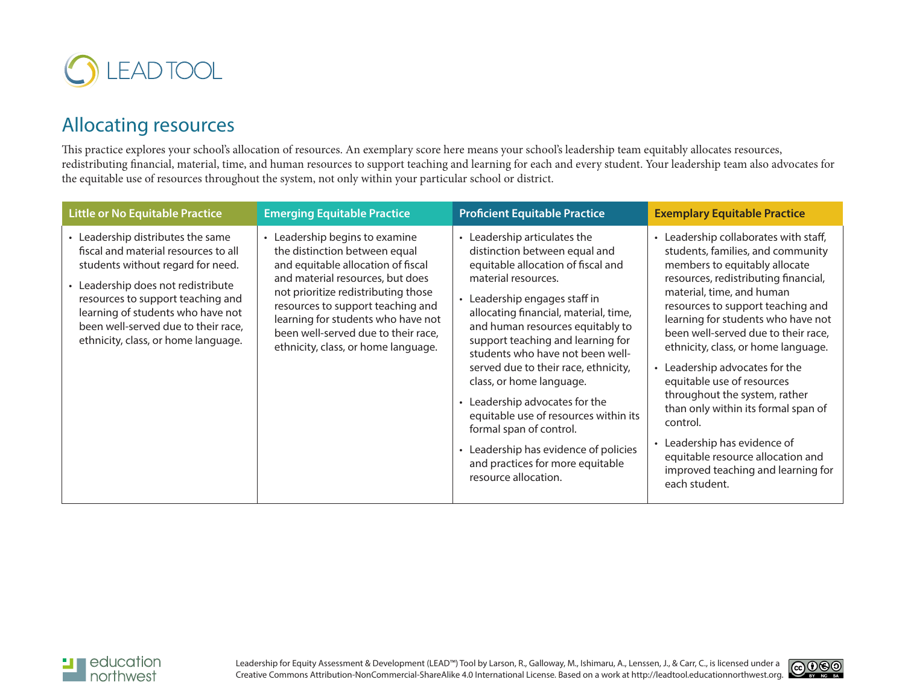

## Allocating resources

This practice explores your school's allocation of resources. An exemplary score here means your school's leadership team equitably allocates resources, redistributing financial, material, time, and human resources to support teaching and learning for each and every student. Your leadership team also advocates for the equitable use of resources throughout the system, not only within your particular school or district.

| <b>Little or No Equitable Practice</b>                                                                                                                                                                                                                                                                       | <b>Emerging Equitable Practice</b>                                                                                                                                                                                                                                                                                                                   | <b>Proficient Equitable Practice</b>                                                                                                                                                                                                                                                                                                                                                                                                                                                                                                                                                             | <b>Exemplary Equitable Practice</b>                                                                                                                                                                                                                                                                                                                                                                                                                                                                                                                                                                                       |
|--------------------------------------------------------------------------------------------------------------------------------------------------------------------------------------------------------------------------------------------------------------------------------------------------------------|------------------------------------------------------------------------------------------------------------------------------------------------------------------------------------------------------------------------------------------------------------------------------------------------------------------------------------------------------|--------------------------------------------------------------------------------------------------------------------------------------------------------------------------------------------------------------------------------------------------------------------------------------------------------------------------------------------------------------------------------------------------------------------------------------------------------------------------------------------------------------------------------------------------------------------------------------------------|---------------------------------------------------------------------------------------------------------------------------------------------------------------------------------------------------------------------------------------------------------------------------------------------------------------------------------------------------------------------------------------------------------------------------------------------------------------------------------------------------------------------------------------------------------------------------------------------------------------------------|
| • Leadership distributes the same<br>fiscal and material resources to all<br>students without regard for need.<br>• Leadership does not redistribute<br>resources to support teaching and<br>learning of students who have not<br>been well-served due to their race,<br>ethnicity, class, or home language. | Leadership begins to examine<br>$\bullet$<br>the distinction between equal<br>and equitable allocation of fiscal<br>and material resources, but does<br>not prioritize redistributing those<br>resources to support teaching and<br>learning for students who have not<br>been well-served due to their race,<br>ethnicity, class, or home language. | • Leadership articulates the<br>distinction between equal and<br>equitable allocation of fiscal and<br>material resources.<br>• Leadership engages staff in<br>allocating financial, material, time,<br>and human resources equitably to<br>support teaching and learning for<br>students who have not been well-<br>served due to their race, ethnicity,<br>class, or home language.<br>• Leadership advocates for the<br>equitable use of resources within its<br>formal span of control.<br>• Leadership has evidence of policies<br>and practices for more equitable<br>resource allocation. | • Leadership collaborates with staff,<br>students, families, and community<br>members to equitably allocate<br>resources, redistributing financial,<br>material, time, and human<br>resources to support teaching and<br>learning for students who have not<br>been well-served due to their race,<br>ethnicity, class, or home language.<br>• Leadership advocates for the<br>equitable use of resources<br>throughout the system, rather<br>than only within its formal span of<br>control.<br>• Leadership has evidence of<br>equitable resource allocation and<br>improved teaching and learning for<br>each student. |



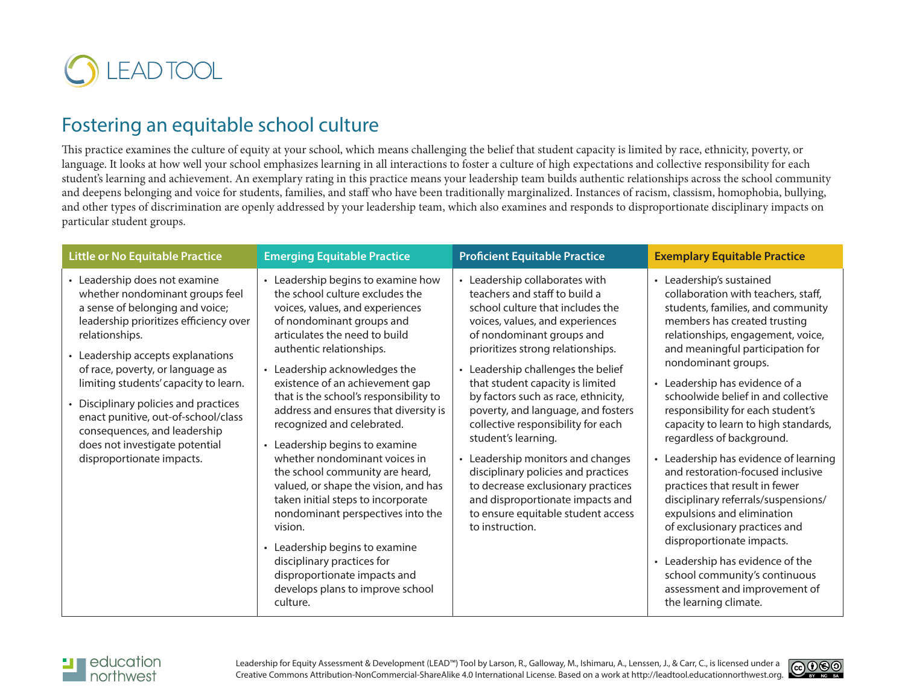

#### Fostering an equitable school culture

This practice examines the culture of equity at your school, which means challenging the belief that student capacity is limited by race, ethnicity, poverty, or language. It looks at how well your school emphasizes learning in all interactions to foster a culture of high expectations and collective responsibility for each student's learning and achievement. An exemplary rating in this practice means your leadership team builds authentic relationships across the school community and deepens belonging and voice for students, families, and staff who have been traditionally marginalized. Instances of racism, classism, homophobia, bullying, and other types of discrimination are openly addressed by your leadership team, which also examines and responds to disproportionate disciplinary impacts on particular student groups.

| <b>Little or No Equitable Practice</b>                                                                                                                                                                                                                                                                                                                                                                                                                       | <b>Emerging Equitable Practice</b>                                                                                                                                                                                                                                                                                                                                                                                                                                                                                                                                                                                                                                                                                                                                                     | <b>Proficient Equitable Practice</b>                                                                                                                                                                                                                                                                                                                                                                                                                                                                                                                                                                                                        | <b>Exemplary Equitable Practice</b>                                                                                                                                                                                                                                                                                                                                                                                                                                                                                                                                                                                                                                                                                                                                                                       |
|--------------------------------------------------------------------------------------------------------------------------------------------------------------------------------------------------------------------------------------------------------------------------------------------------------------------------------------------------------------------------------------------------------------------------------------------------------------|----------------------------------------------------------------------------------------------------------------------------------------------------------------------------------------------------------------------------------------------------------------------------------------------------------------------------------------------------------------------------------------------------------------------------------------------------------------------------------------------------------------------------------------------------------------------------------------------------------------------------------------------------------------------------------------------------------------------------------------------------------------------------------------|---------------------------------------------------------------------------------------------------------------------------------------------------------------------------------------------------------------------------------------------------------------------------------------------------------------------------------------------------------------------------------------------------------------------------------------------------------------------------------------------------------------------------------------------------------------------------------------------------------------------------------------------|-----------------------------------------------------------------------------------------------------------------------------------------------------------------------------------------------------------------------------------------------------------------------------------------------------------------------------------------------------------------------------------------------------------------------------------------------------------------------------------------------------------------------------------------------------------------------------------------------------------------------------------------------------------------------------------------------------------------------------------------------------------------------------------------------------------|
| • Leadership does not examine<br>whether nondominant groups feel<br>a sense of belonging and voice;<br>leadership prioritizes efficiency over<br>relationships.<br>Leadership accepts explanations<br>of race, poverty, or language as<br>limiting students' capacity to learn.<br>Disciplinary policies and practices<br>enact punitive, out-of-school/class<br>consequences, and leadership<br>does not investigate potential<br>disproportionate impacts. | • Leadership begins to examine how<br>the school culture excludes the<br>voices, values, and experiences<br>of nondominant groups and<br>articulates the need to build<br>authentic relationships.<br>• Leadership acknowledges the<br>existence of an achievement gap<br>that is the school's responsibility to<br>address and ensures that diversity is<br>recognized and celebrated.<br>Leadership begins to examine<br>$\bullet$<br>whether nondominant voices in<br>the school community are heard,<br>valued, or shape the vision, and has<br>taken initial steps to incorporate<br>nondominant perspectives into the<br>vision.<br>• Leadership begins to examine<br>disciplinary practices for<br>disproportionate impacts and<br>develops plans to improve school<br>culture. | • Leadership collaborates with<br>teachers and staff to build a<br>school culture that includes the<br>voices, values, and experiences<br>of nondominant groups and<br>prioritizes strong relationships.<br>• Leadership challenges the belief<br>that student capacity is limited<br>by factors such as race, ethnicity,<br>poverty, and language, and fosters<br>collective responsibility for each<br>student's learning.<br>• Leadership monitors and changes<br>disciplinary policies and practices<br>to decrease exclusionary practices<br>and disproportionate impacts and<br>to ensure equitable student access<br>to instruction. | • Leadership's sustained<br>collaboration with teachers, staff,<br>students, families, and community<br>members has created trusting<br>relationships, engagement, voice,<br>and meaningful participation for<br>nondominant groups.<br>• Leadership has evidence of a<br>schoolwide belief in and collective<br>responsibility for each student's<br>capacity to learn to high standards,<br>regardless of background.<br>• Leadership has evidence of learning<br>and restoration-focused inclusive<br>practices that result in fewer<br>disciplinary referrals/suspensions/<br>expulsions and elimination<br>of exclusionary practices and<br>disproportionate impacts.<br>• Leadership has evidence of the<br>school community's continuous<br>assessment and improvement of<br>the learning climate. |

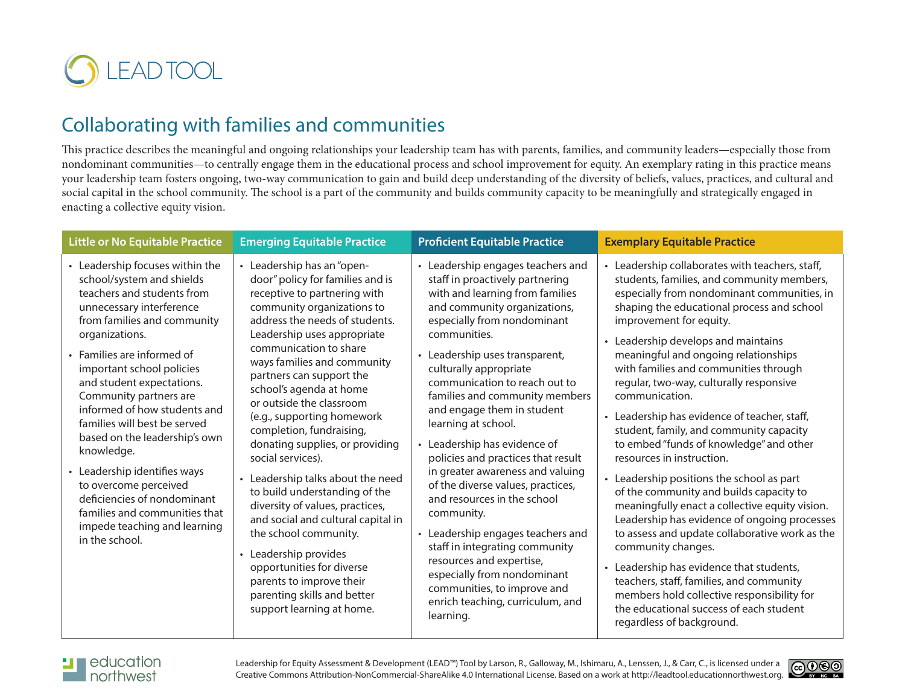

## Collaborating with families and communities

This practice describes the meaningful and ongoing relationships your leadership team has with parents, families, and community leaders—especially those from nondominant communities—to centrally engage them in the educational process and school improvement for equity. An exemplary rating in this practice means your leadership team fosters ongoing, two-way communication to gain and build deep understanding of the diversity of beliefs, values, practices, and cultural and social capital in the school community. The school is a part of the community and builds community capacity to be meaningfully and strategically engaged in enacting a collective equity vision.

| <b>Little or No Equitable Practice</b>                                                                                                                                                                                                                                                                                                                                                                                                                                                                                                                                              | <b>Emerging Equitable Practice</b>                                                                                                                                                                                                                                                                                                                                                                                                                                                                                                                                                                                                                                                                                                                                                | <b>Proficient Equitable Practice</b>                                                                                                                                                                                                                                                                                                                                                                                                                                                                                                                                                                                                                                                                                                                                                   | <b>Exemplary Equitable Practice</b>                                                                                                                                                                                                                                                                                                                                                                                                                                                                                                                                                                                                                                                                                                                                                                                                                                                                                                                                                                                                                           |
|-------------------------------------------------------------------------------------------------------------------------------------------------------------------------------------------------------------------------------------------------------------------------------------------------------------------------------------------------------------------------------------------------------------------------------------------------------------------------------------------------------------------------------------------------------------------------------------|-----------------------------------------------------------------------------------------------------------------------------------------------------------------------------------------------------------------------------------------------------------------------------------------------------------------------------------------------------------------------------------------------------------------------------------------------------------------------------------------------------------------------------------------------------------------------------------------------------------------------------------------------------------------------------------------------------------------------------------------------------------------------------------|----------------------------------------------------------------------------------------------------------------------------------------------------------------------------------------------------------------------------------------------------------------------------------------------------------------------------------------------------------------------------------------------------------------------------------------------------------------------------------------------------------------------------------------------------------------------------------------------------------------------------------------------------------------------------------------------------------------------------------------------------------------------------------------|---------------------------------------------------------------------------------------------------------------------------------------------------------------------------------------------------------------------------------------------------------------------------------------------------------------------------------------------------------------------------------------------------------------------------------------------------------------------------------------------------------------------------------------------------------------------------------------------------------------------------------------------------------------------------------------------------------------------------------------------------------------------------------------------------------------------------------------------------------------------------------------------------------------------------------------------------------------------------------------------------------------------------------------------------------------|
| • Leadership focuses within the<br>school/system and shields<br>teachers and students from<br>unnecessary interference<br>from families and community<br>organizations.<br>• Families are informed of<br>important school policies<br>and student expectations.<br>Community partners are<br>informed of how students and<br>families will best be served<br>based on the leadership's own<br>knowledge.<br>• Leadership identifies ways<br>to overcome perceived<br>deficiencies of nondominant<br>families and communities that<br>impede teaching and learning<br>in the school. | • Leadership has an "open-<br>door" policy for families and is<br>receptive to partnering with<br>community organizations to<br>address the needs of students.<br>Leadership uses appropriate<br>communication to share<br>ways families and community<br>partners can support the<br>school's agenda at home<br>or outside the classroom<br>(e.g., supporting homework<br>completion, fundraising,<br>donating supplies, or providing<br>social services).<br>• Leadership talks about the need<br>to build understanding of the<br>diversity of values, practices,<br>and social and cultural capital in<br>the school community.<br>• Leadership provides<br>opportunities for diverse<br>parents to improve their<br>parenting skills and better<br>support learning at home. | • Leadership engages teachers and<br>staff in proactively partnering<br>with and learning from families<br>and community organizations,<br>especially from nondominant<br>communities.<br>• Leadership uses transparent,<br>culturally appropriate<br>communication to reach out to<br>families and community members<br>and engage them in student<br>learning at school.<br>Leadership has evidence of<br>policies and practices that result<br>in greater awareness and valuing<br>of the diverse values, practices,<br>and resources in the school<br>community.<br>• Leadership engages teachers and<br>staff in integrating community<br>resources and expertise,<br>especially from nondominant<br>communities, to improve and<br>enrich teaching, curriculum, and<br>learning. | • Leadership collaborates with teachers, staff,<br>students, families, and community members,<br>especially from nondominant communities, in<br>shaping the educational process and school<br>improvement for equity.<br>• Leadership develops and maintains<br>meaningful and ongoing relationships<br>with families and communities through<br>regular, two-way, culturally responsive<br>communication.<br>• Leadership has evidence of teacher, staff,<br>student, family, and community capacity<br>to embed "funds of knowledge" and other<br>resources in instruction.<br>• Leadership positions the school as part<br>of the community and builds capacity to<br>meaningfully enact a collective equity vision.<br>Leadership has evidence of ongoing processes<br>to assess and update collaborative work as the<br>community changes.<br>• Leadership has evidence that students,<br>teachers, staff, families, and community<br>members hold collective responsibility for<br>the educational success of each student<br>regardless of background. |



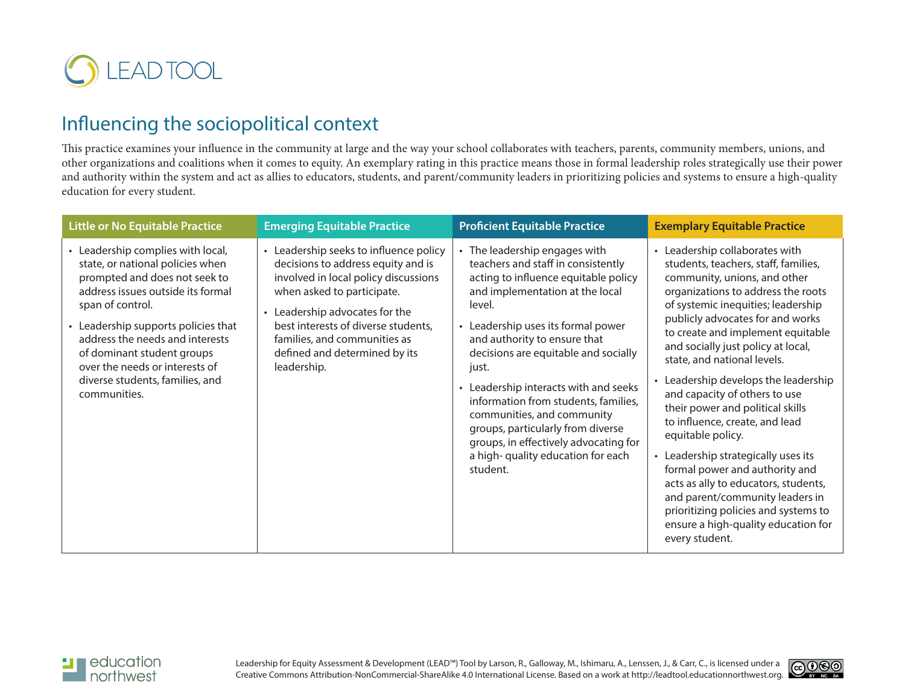

## Influencing the sociopolitical context

This practice examines your influence in the community at large and the way your school collaborates with teachers, parents, community members, unions, and other organizations and coalitions when it comes to equity. An exemplary rating in this practice means those in formal leadership roles strategically use their power and authority within the system and act as allies to educators, students, and parent/community leaders in prioritizing policies and systems to ensure a high-quality education for every student.

| <b>Little or No Equitable Practice</b>                                                                                                                                                                                                                                                                                                                       | <b>Emerging Equitable Practice</b>                                                                                                                                                                                                                                                                        | <b>Proficient Equitable Practice</b>                                                                                                                                                                                                                                                                                                                                                                                                                                                                                          | <b>Exemplary Equitable Practice</b>                                                                                                                                                                                                                                                                                                                                                                                                                                                                                                                                                                                                                                                                                                                     |
|--------------------------------------------------------------------------------------------------------------------------------------------------------------------------------------------------------------------------------------------------------------------------------------------------------------------------------------------------------------|-----------------------------------------------------------------------------------------------------------------------------------------------------------------------------------------------------------------------------------------------------------------------------------------------------------|-------------------------------------------------------------------------------------------------------------------------------------------------------------------------------------------------------------------------------------------------------------------------------------------------------------------------------------------------------------------------------------------------------------------------------------------------------------------------------------------------------------------------------|---------------------------------------------------------------------------------------------------------------------------------------------------------------------------------------------------------------------------------------------------------------------------------------------------------------------------------------------------------------------------------------------------------------------------------------------------------------------------------------------------------------------------------------------------------------------------------------------------------------------------------------------------------------------------------------------------------------------------------------------------------|
| • Leadership complies with local,<br>state, or national policies when<br>prompted and does not seek to<br>address issues outside its formal<br>span of control.<br>• Leadership supports policies that<br>address the needs and interests<br>of dominant student groups<br>over the needs or interests of<br>diverse students, families, and<br>communities. | Leadership seeks to influence policy<br>decisions to address equity and is<br>involved in local policy discussions<br>when asked to participate.<br>• Leadership advocates for the<br>best interests of diverse students,<br>families, and communities as<br>defined and determined by its<br>leadership. | • The leadership engages with<br>teachers and staff in consistently<br>acting to influence equitable policy<br>and implementation at the local<br>level.<br>• Leadership uses its formal power<br>and authority to ensure that<br>decisions are equitable and socially<br>just.<br>• Leadership interacts with and seeks<br>information from students, families,<br>communities, and community<br>groups, particularly from diverse<br>groups, in effectively advocating for<br>a high-quality education for each<br>student. | • Leadership collaborates with<br>students, teachers, staff, families,<br>community, unions, and other<br>organizations to address the roots<br>of systemic inequities; leadership<br>publicly advocates for and works<br>to create and implement equitable<br>and socially just policy at local,<br>state, and national levels.<br>Leadership develops the leadership<br>and capacity of others to use<br>their power and political skills<br>to influence, create, and lead<br>equitable policy.<br>• Leadership strategically uses its<br>formal power and authority and<br>acts as ally to educators, students,<br>and parent/community leaders in<br>prioritizing policies and systems to<br>ensure a high-quality education for<br>every student. |



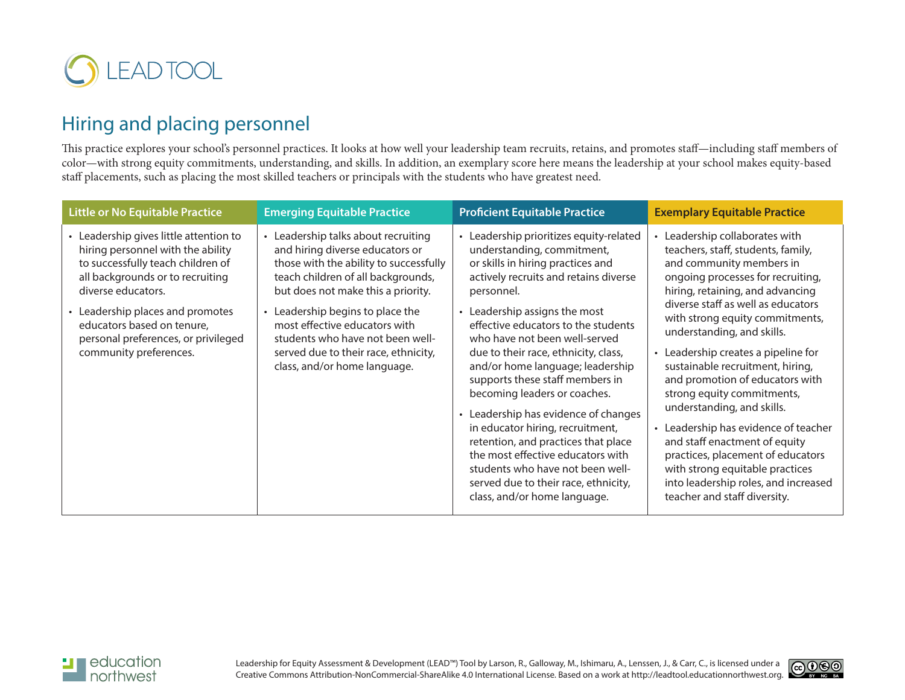

# Hiring and placing personnel

This practice explores your school's personnel practices. It looks at how well your leadership team recruits, retains, and promotes staff—including staff members of color—with strong equity commitments, understanding, and skills. In addition, an exemplary score here means the leadership at your school makes equity-based staff placements, such as placing the most skilled teachers or principals with the students who have greatest need.

| <b>Little or No Equitable Practice</b>                                                                                                                                                                                                                                                                      | <b>Emerging Equitable Practice</b>                                                                                                                                                                                                                                                                                                                                                       | <b>Proficient Equitable Practice</b>                                                                                                                                                                                                                                                                                                                                                                                                                                                                                                                                                                                                                                                        | <b>Exemplary Equitable Practice</b>                                                                                                                                                                                                                                                                                                                                                                                                                                                                                                                                                                                                                                                 |
|-------------------------------------------------------------------------------------------------------------------------------------------------------------------------------------------------------------------------------------------------------------------------------------------------------------|------------------------------------------------------------------------------------------------------------------------------------------------------------------------------------------------------------------------------------------------------------------------------------------------------------------------------------------------------------------------------------------|---------------------------------------------------------------------------------------------------------------------------------------------------------------------------------------------------------------------------------------------------------------------------------------------------------------------------------------------------------------------------------------------------------------------------------------------------------------------------------------------------------------------------------------------------------------------------------------------------------------------------------------------------------------------------------------------|-------------------------------------------------------------------------------------------------------------------------------------------------------------------------------------------------------------------------------------------------------------------------------------------------------------------------------------------------------------------------------------------------------------------------------------------------------------------------------------------------------------------------------------------------------------------------------------------------------------------------------------------------------------------------------------|
| Leadership gives little attention to<br>hiring personnel with the ability<br>to successfully teach children of<br>all backgrounds or to recruiting<br>diverse educators.<br>• Leadership places and promotes<br>educators based on tenure,<br>personal preferences, or privileged<br>community preferences. | • Leadership talks about recruiting<br>and hiring diverse educators or<br>those with the ability to successfully<br>teach children of all backgrounds,<br>but does not make this a priority.<br>Leadership begins to place the<br>$\bullet$<br>most effective educators with<br>students who have not been well-<br>served due to their race, ethnicity,<br>class, and/or home language. | • Leadership prioritizes equity-related<br>understanding, commitment,<br>or skills in hiring practices and<br>actively recruits and retains diverse<br>personnel.<br>• Leadership assigns the most<br>effective educators to the students<br>who have not been well-served<br>due to their race, ethnicity, class,<br>and/or home language; leadership<br>supports these staff members in<br>becoming leaders or coaches.<br>Leadership has evidence of changes<br>in educator hiring, recruitment,<br>retention, and practices that place<br>the most effective educators with<br>students who have not been well-<br>served due to their race, ethnicity,<br>class, and/or home language. | • Leadership collaborates with<br>teachers, staff, students, family,<br>and community members in<br>ongoing processes for recruiting,<br>hiring, retaining, and advancing<br>diverse staff as well as educators<br>with strong equity commitments,<br>understanding, and skills.<br>• Leadership creates a pipeline for<br>sustainable recruitment, hiring,<br>and promotion of educators with<br>strong equity commitments,<br>understanding, and skills.<br>• Leadership has evidence of teacher<br>and staff enactment of equity<br>practices, placement of educators<br>with strong equitable practices<br>into leadership roles, and increased<br>teacher and staff diversity. |